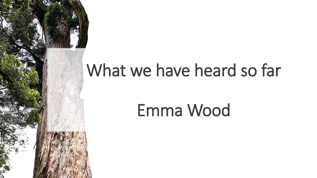

# What we have heard so far

# Emma Wood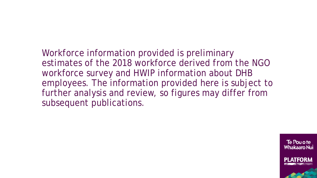Workforce information provided is preliminary estimates of the 2018 workforce derived from the NGO workforce survey and HWIP information about DHB employees. The information provided here is subject to further analysis and review, so figures may differ from subsequent publications.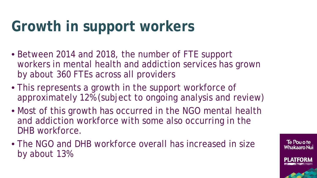## **Growth in support workers**

- Between 2014 and 2018, the number of FTE support workers in mental health and addiction services has grown by about 360 FTEs across all providers
- This represents a growth in the support workforce of approximately 12% (subject to ongoing analysis and review)
- Most of this growth has occurred in the NGO mental health and addiction workforce with some also occurring in the DHB workforce.
- The NGO and DHB workforce overall has increased in size by about 13%

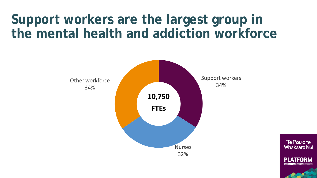### **Support workers are the largest group in the mental health and addiction workforce**

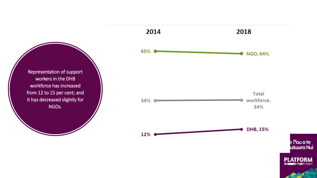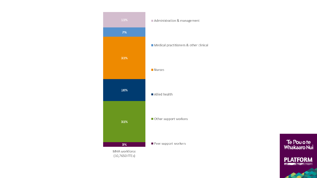

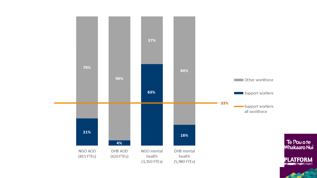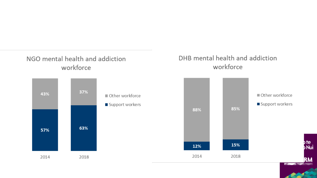### NGO mental health and addiction workforce



#### DHB mental health and addiction workforce

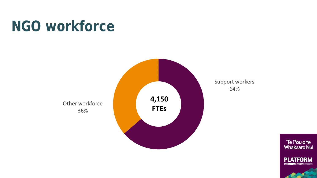### **NGO workforce**



Support workers 64%

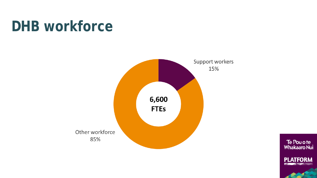### **DHB workforce**



Te Pou o te<br>Whakaaro Nui

**PLATFORM** 

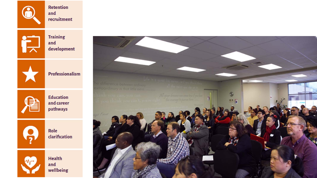

**Training** and  $development$ 



 $\tilde{\mathbf{L}}$ 

Professionalism



**Education** and career pathways



Role clarification



Health and wellbeing

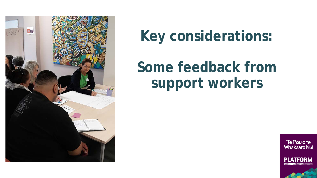

## **Key considerations:**

### **Some feedback from support workers**

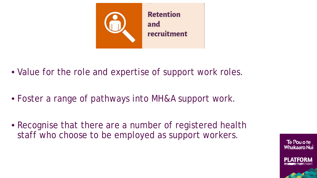

- Value for the role and expertise of support work roles.
- Foster a range of pathways into MH&A support work.
- Recognise that there are a number of registered health staff who choose to be employed as support workers.

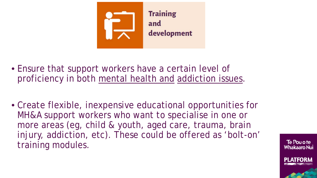

- Ensure that support workers have a certain level of proficiency in both mental health and addiction issues.
- Create flexible, inexpensive educational opportunities for MH&A support workers who want to specialise in one or more areas (eg, child & youth, aged care, trauma, brain injury, addiction, etc). These could be offered as 'bolt-on' training modules.

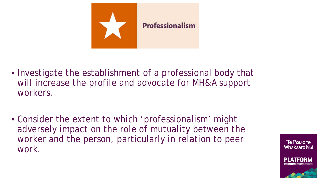

- Investigate the establishment of a professional body that will increase the profile and advocate for MH&A support workers.
- Consider the extent to which 'professionalism' might adversely impact on the role of mutuality between the worker and the person, particularly in relation to peer work.

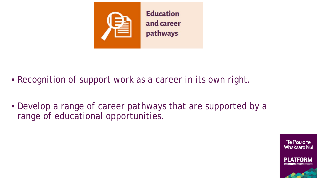

- Recognition of support work as a career in its own right.
- Develop a range of career pathways that are supported by a range of educational opportunities.

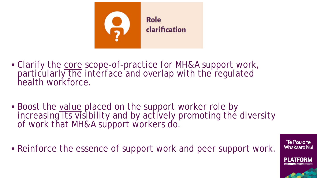

- Clarify the core scope-of-practice for MH&A support work, particularly the interface and overlap with the regulated health workforce.
- Boost the value placed on the support worker role by increasing its visibility and by actively promoting the diversity of work that MH&A support workers do.
- Reinforce the essence of support work and peer support work.